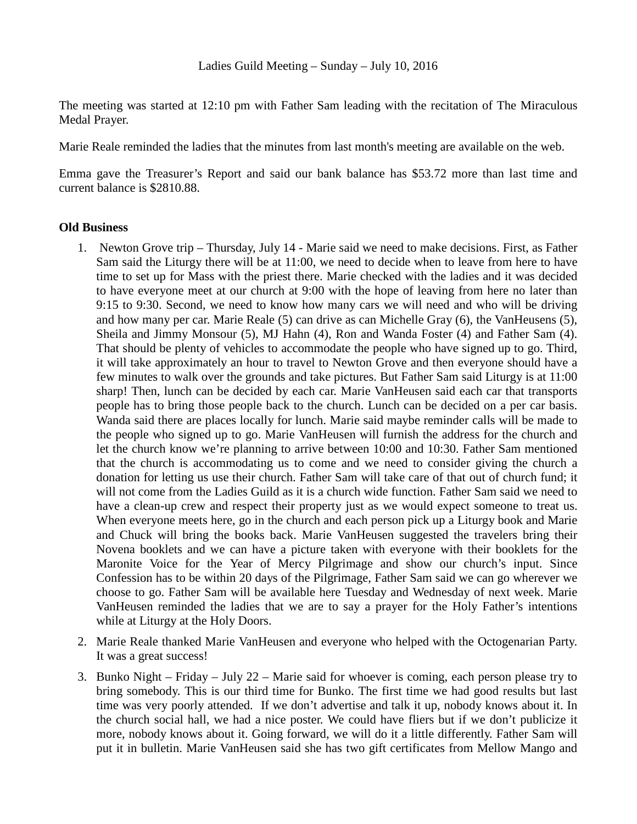The meeting was started at 12:10 pm with Father Sam leading with the recitation of The Miraculous Medal Prayer.

Marie Reale reminded the ladies that the minutes from last month's meeting are available on the web.

Emma gave the Treasurer's Report and said our bank balance has \$53.72 more than last time and current balance is \$2810.88.

## **Old Business**

- 1. Newton Grove trip Thursday, July 14 Marie said we need to make decisions. First, as Father Sam said the Liturgy there will be at 11:00, we need to decide when to leave from here to have time to set up for Mass with the priest there. Marie checked with the ladies and it was decided to have everyone meet at our church at 9:00 with the hope of leaving from here no later than 9:15 to 9:30. Second, we need to know how many cars we will need and who will be driving and how many per car. Marie Reale (5) can drive as can Michelle Gray (6), the VanHeusens (5), Sheila and Jimmy Monsour (5), MJ Hahn (4), Ron and Wanda Foster (4) and Father Sam (4). That should be plenty of vehicles to accommodate the people who have signed up to go. Third, it will take approximately an hour to travel to Newton Grove and then everyone should have a few minutes to walk over the grounds and take pictures. But Father Sam said Liturgy is at 11:00 sharp! Then, lunch can be decided by each car. Marie VanHeusen said each car that transports people has to bring those people back to the church. Lunch can be decided on a per car basis. Wanda said there are places locally for lunch. Marie said maybe reminder calls will be made to the people who signed up to go. Marie VanHeusen will furnish the address for the church and let the church know we're planning to arrive between 10:00 and 10:30. Father Sam mentioned that the church is accommodating us to come and we need to consider giving the church a donation for letting us use their church. Father Sam will take care of that out of church fund; it will not come from the Ladies Guild as it is a church wide function. Father Sam said we need to have a clean-up crew and respect their property just as we would expect someone to treat us. When everyone meets here, go in the church and each person pick up a Liturgy book and Marie and Chuck will bring the books back. Marie VanHeusen suggested the travelers bring their Novena booklets and we can have a picture taken with everyone with their booklets for the Maronite Voice for the Year of Mercy Pilgrimage and show our church's input. Since Confession has to be within 20 days of the Pilgrimage, Father Sam said we can go wherever we choose to go. Father Sam will be available here Tuesday and Wednesday of next week. Marie VanHeusen reminded the ladies that we are to say a prayer for the Holy Father's intentions while at Liturgy at the Holy Doors.
- 2. Marie Reale thanked Marie VanHeusen and everyone who helped with the Octogenarian Party. It was a great success!
- 3. Bunko Night Friday July 22 Marie said for whoever is coming, each person please try to bring somebody. This is our third time for Bunko. The first time we had good results but last time was very poorly attended. If we don't advertise and talk it up, nobody knows about it. In the church social hall, we had a nice poster. We could have fliers but if we don't publicize it more, nobody knows about it. Going forward, we will do it a little differently. Father Sam will put it in bulletin. Marie VanHeusen said she has two gift certificates from Mellow Mango and